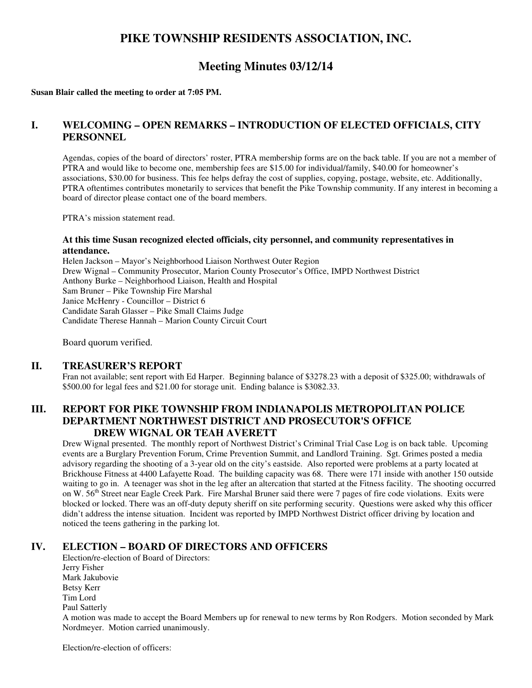## **PIKE TOWNSHIP RESIDENTS ASSOCIATION, INC.**

# **Meeting Minutes 03/12/14**

**Susan Blair called the meeting to order at 7:05 PM.**

#### **I. WELCOMING – OPEN REMARKS – INTRODUCTION OF ELECTED OFFICIALS, CITY PERSONNEL**

Agendas, copies of the board of directors' roster, PTRA membership forms are on the back table. If you are not a member of PTRA and would like to become one, membership fees are \$15.00 for individual/family, \$40.00 for homeowner's associations, \$30.00 for business. This fee helps defray the cost of supplies, copying, postage, website, etc. Additionally, PTRA oftentimes contributes monetarily to services that benefit the Pike Township community. If any interest in becoming a board of director please contact one of the board members.

PTRA's mission statement read.

#### **At this time Susan recognized elected officials, city personnel, and community representatives in attendance.**

Helen Jackson – Mayor's Neighborhood Liaison Northwest Outer Region Drew Wignal – Community Prosecutor, Marion County Prosecutor's Office, IMPD Northwest District Anthony Burke – Neighborhood Liaison, Health and Hospital Sam Bruner – Pike Township Fire Marshal Janice McHenry - Councillor – District 6 Candidate Sarah Glasser – Pike Small Claims Judge Candidate Therese Hannah – Marion County Circuit Court

Board quorum verified.

#### **II. TREASURER'S REPORT**

Fran not available; sent report with Ed Harper. Beginning balance of \$3278.23 with a deposit of \$325.00; withdrawals of \$500.00 for legal fees and \$21.00 for storage unit. Ending balance is \$3082.33.

## **III. REPORT FOR PIKE TOWNSHIP FROM INDIANAPOLIS METROPOLITAN POLICE DEPARTMENT NORTHWEST DISTRICT AND PROSECUTOR'S OFFICE DREW WIGNAL OR TEAH AVERETT**

Drew Wignal presented. The monthly report of Northwest District's Criminal Trial Case Log is on back table. Upcoming events are a Burglary Prevention Forum, Crime Prevention Summit, and Landlord Training. Sgt. Grimes posted a media advisory regarding the shooting of a 3-year old on the city's eastside. Also reported were problems at a party located at Brickhouse Fitness at 4400 Lafayette Road. The building capacity was 68. There were 171 inside with another 150 outside waiting to go in. A teenager was shot in the leg after an altercation that started at the Fitness facility. The shooting occurred on W.  $56<sup>th</sup>$  Street near Eagle Creek Park. Fire Marshal Bruner said there were 7 pages of fire code violations. Exits were blocked or locked. There was an off-duty deputy sheriff on site performing security. Questions were asked why this officer didn't address the intense situation. Incident was reported by IMPD Northwest District officer driving by location and noticed the teens gathering in the parking lot.

#### **IV. ELECTION – BOARD OF DIRECTORS AND OFFICERS**

Election/re-election of Board of Directors: Jerry Fisher Mark Jakubovie Betsy Kerr Tim Lord Paul Satterly A motion was made to accept the Board Members up for renewal to new terms by Ron Rodgers. Motion seconded by Mark Nordmeyer. Motion carried unanimously.

Election/re-election of officers: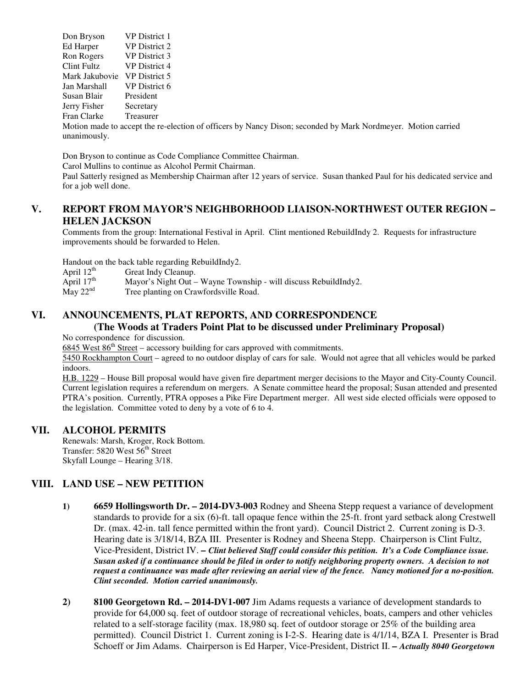Don Bryson VP District 1 Ed Harper VP District 2 Ron Rogers VP District 3 Clint Fultz VP District 4 Mark Jakubovie VP District 5 Jan Marshall VP District 6 Susan Blair President Jerry Fisher Secretary Fran Clarke Treasurer

Motion made to accept the re-election of officers by Nancy Dison; seconded by Mark Nordmeyer. Motion carried unanimously.

Don Bryson to continue as Code Compliance Committee Chairman.

Carol Mullins to continue as Alcohol Permit Chairman.

Paul Satterly resigned as Membership Chairman after 12 years of service. Susan thanked Paul for his dedicated service and for a job well done.

## **V. REPORT FROM MAYOR'S NEIGHBORHOOD LIAISON-NORTHWEST OUTER REGION – HELEN JACKSON**

Comments from the group: International Festival in April. Clint mentioned RebuildIndy 2. Requests for infrastructure improvements should be forwarded to Helen.

Handout on the back table regarding RebuildIndy2.

- April  $12^{th}$  Great Indy Cleanup.<br>April  $17^{th}$  Mayor's Night Out -
- April  $17<sup>th</sup>$  Mayor's Night Out Wayne Township will discuss RebuildIndy2.<br>May  $22<sup>nd</sup>$  Tree planting on Crawfordsville Road.
- Tree planting on Crawfordsville Road.

## **VI. ANNOUNCEMENTS, PLAT REPORTS, AND CORRESPONDENCE (The Woods at Traders Point Plat to be discussed under Preliminary Proposal)**

No correspondence for discussion.

 $6845$  West  $86<sup>th</sup>$  Street – accessory building for cars approved with commitments.

5450 Rockhampton Court – agreed to no outdoor display of cars for sale. Would not agree that all vehicles would be parked indoors.

H.B. 1229 – House Bill proposal would have given fire department merger decisions to the Mayor and City-County Council. Current legislation requires a referendum on mergers. A Senate committee heard the proposal; Susan attended and presented PTRA's position. Currently, PTRA opposes a Pike Fire Department merger. All west side elected officials were opposed to the legislation. Committee voted to deny by a vote of 6 to 4.

#### **VII. ALCOHOL PERMITS**

Renewals: Marsh, Kroger, Rock Bottom. Transfer: 5820 West 56<sup>th</sup> Street Skyfall Lounge – Hearing 3/18.

#### **VIII. LAND USE – NEW PETITION**

- **1) 6659 Hollingsworth Dr. 2014-DV3-003** Rodney and Sheena Stepp request a variance of development standards to provide for a six (6)-ft. tall opaque fence within the 25-ft. front yard setback along Crestwell Dr. (max. 42-in. tall fence permitted within the front yard). Council District 2. Current zoning is D-3. Hearing date is 3/18/14, BZA III. Presenter is Rodney and Sheena Stepp. Chairperson is Clint Fultz, Vice-President, District IV. *– Clint believed Staff could consider this petition. It's a Code Compliance issue. Susan asked if a continuance should be filed in order to notify neighboring property owners. A decision to not request a continuance was made after reviewing an aerial view of the fence. Nancy motioned for a no-position. Clint seconded. Motion carried unanimously.*
- **2) 8100 Georgetown Rd. 2014-DV1-007** Jim Adams requests a variance of development standards to provide for 64,000 sq. feet of outdoor storage of recreational vehicles, boats, campers and other vehicles related to a self-storage facility (max. 18,980 sq. feet of outdoor storage or 25% of the building area permitted). Council District 1. Current zoning is I-2-S. Hearing date is 4/1/14, BZA I. Presenter is Brad Schoeff or Jim Adams. Chairperson is Ed Harper, Vice-President, District II. *– Actually 8040 Georgetown*